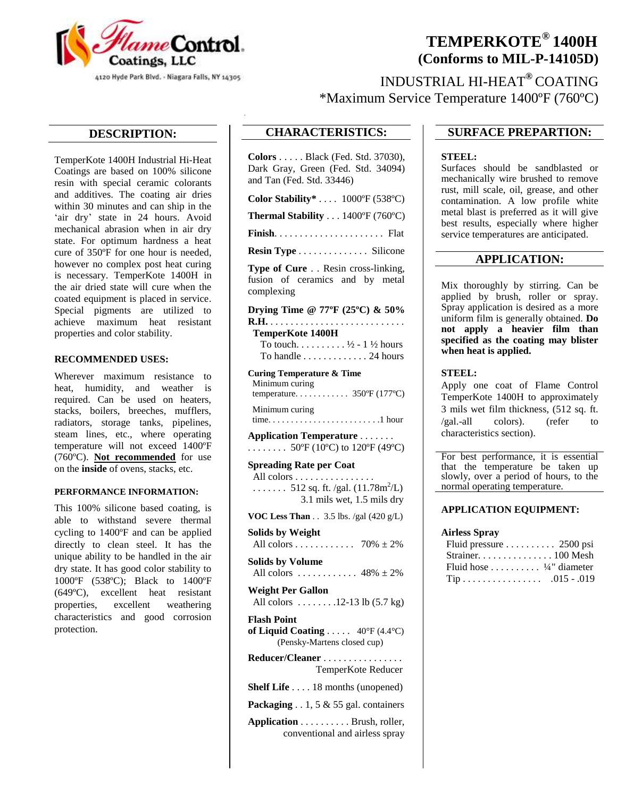

# **TEMPERKOTE® 1400H (Conforms to MIL-P-14105D)**

INDUSTRIAL HI-HEAT**®** COATING \*Maximum Service Temperature 1400ºF (760ºC)

## **DESCRIPTION:**

TemperKote 1400H Industrial Hi-Heat Coatings are based on 100% silicone resin with special ceramic colorants and additives. The coating air dries within 30 minutes and can ship in the 'air dry' state in 24 hours. Avoid mechanical abrasion when in air dry state. For optimum hardness a heat cure of 350ºF for one hour is needed, however no complex post heat curing is necessary. TemperKote 1400H in the air dried state will cure when the coated equipment is placed in service. Special pigments are utilized to achieve maximum heat resistant properties and color stability.

### **RECOMMENDED USES:**

Wherever maximum resistance to heat, humidity, and weather is required. Can be used on heaters, stacks, boilers, breeches, mufflers, radiators, storage tanks, pipelines, steam lines, etc., where operating temperature will not exceed 1400ºF (760ºC). **Not recommended** for use on the **inside** of ovens, stacks, etc.

#### **PERFORMANCE INFORMATION:**

This 100% silicone based coating, is able to withstand severe thermal cycling to 1400ºF and can be applied directly to clean steel. It has the unique ability to be handled in the air dry state. It has good color stability to 1000ºF (538ºC); Black to 1400ºF (649ºC), excellent heat resistant properties, excellent weathering characteristics and good corrosion protection.

# **CHARACTERISTICS:**

**Colors** . . . . . Black (Fed. Std. 37030), Dark Gray, Green (Fed. Std. 34094) and Tan (Fed. Std. 33446)

**Color Stability\*** . . . . 1000ºF (538ºC)

**Thermal Stability** . . . 1400ºF (760ºC)

**Finish**. . . . . . . . . . . . . . . . . . . . . . Flat

**Resin Type** . . . . . . . . . . . . . . Silicone

**Type of Cure** . . Resin cross-linking, fusion of ceramics and by metal complexing

**Drying Time @ 77ºF (25ºC) & 50% R.H.** . . . . . . . . . . . . . . . . . . . . . . . . . . .  **TemperKote 1400H** To touch.  $\dots \dots \dots \frac{1}{2}$  - 1  $\frac{1}{2}$  hours To handle  $\dots \dots \dots \dots 24$  hours

**Curing Temperature & Time** Minimum curing

 temperature. . . . . . . . . . . . 350ºF (177ºC) Minimum curing

time. . . . . . . . . . . . . . . . . . . . . . . . .1 hour

**Application Temperature** . . . . . . . ........  $50^{\circ}F(10^{\circ}C)$  to  $120^{\circ}F(49^{\circ}C)$ 

**Spreading Rate per Coat** All colors . . . . . . . . . . . . . . . . ....... 512 sq. ft. /gal.  $(11.78 \text{m}^2/\text{L})$ 3.1 mils wet, 1.5 mils dry

**VOC Less Than** . . 3.5 lbs. /gal (420 g/L)

**Solids by Weight** All colors . . . . . . . . . . . . 70%  $\pm 2\%$ **Solids by Volume** All colors  $\dots \dots \dots \dots 48\% \pm 2\%$ **Weight Per Gallon** All colors . . . . . . . .12-13 lb (5.7 kg) **Flash Point**

**of Liquid Coating** . . . . . 40°F (4.4°C) (Pensky-Martens closed cup)

| Reducer/Cleaner                              |                                                |
|----------------------------------------------|------------------------------------------------|
|                                              | TemperKote Reducer                             |
|                                              | <b>Shelf Life</b> $\dots$ 18 months (unopened) |
| Packaging $\ldots$ 1, 5 & 55 gal. containers |                                                |
|                                              | <b>Application</b> Brush, roller,              |

conventional and airless spray

## **SURFACE PREPARTION:**

#### **STEEL:**

Surfaces should be sandblasted or mechanically wire brushed to remove rust, mill scale, oil, grease, and other contamination. A low profile white metal blast is preferred as it will give best results, especially where higher service temperatures are anticipated.

## **APPLICATION:**

Mix thoroughly by stirring. Can be applied by brush, roller or spray. Spray application is desired as a more uniform film is generally obtained. **Do not apply a heavier film than specified as the coating may blister when heat is applied.**

#### **STEEL:**

Apply one coat of Flame Control TemperKote 1400H to approximately 3 mils wet film thickness, (512 sq. ft. /gal.-all colors). (refer to characteristics section).

For best performance, it is essential that the temperature be taken up slowly, over a period of hours, to the normal operating temperature.

#### **APPLICATION EQUIPMENT:**

#### **Airless Spray**

| Fluid pressure 2500 psi             |  |
|-------------------------------------|--|
| Strainer. 100 Mesh                  |  |
| Fluid hose $\frac{1}{4}$ " diameter |  |
|                                     |  |